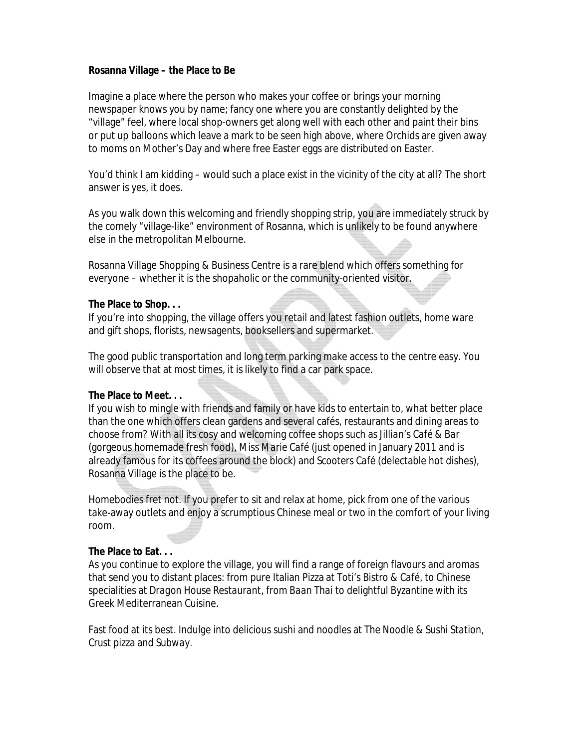**Rosanna Village – the Place to Be**

Imagine a place where the person who makes your coffee or brings your morning newspaper knows you by name; fancy one where you are constantly delighted by the "village" feel, where local shop-owners get along well with each other and paint their bins or put up balloons which leave a mark to be seen high above, where Orchids are given away to moms on Mother's Day and where free Easter eggs are distributed on Easter.

You'd think I am kidding – would such a place exist in the vicinity of the city at all? The short answer is yes, it does.

As you walk down this welcoming and friendly shopping strip, you are immediately struck by the comely "village-like" environment of Rosanna, which is unlikely to be found anywhere else in the metropolitan Melbourne.

Rosanna Village Shopping & Business Centre is a rare blend which offers something for everyone – whether it is the shopaholic or the community-oriented visitor.

## **The Place to Shop. . .**

If you're into shopping, the village offers you retail and latest fashion outlets, home ware and gift shops, florists, newsagents, booksellers and supermarket.

The good public transportation and long term parking make access to the centre easy. You will observe that at most times, it is likely to find a car park space.

**The Place to Meet. . .**

If you wish to mingle with friends and family or have kids to entertain to, what better place than the one which offers clean gardens and several cafés, restaurants and dining areas to choose from? With all its cosy and welcoming coffee shops such as *Jillian's Café & Bar* (gorgeous homemade fresh food)*, Miss Marie Café* (just opened in January 2011 and is already famous for its coffees around the block) and *Scooters Café* (delectable hot dishes), Rosanna Village is the place to be.

Homebodies fret not. If you prefer to sit and relax at home, pick from one of the various take-away outlets and enjoy a scrumptious Chinese meal or two in the comfort of your living room.

## **The Place to Eat. . .**

As you continue to explore the village, you will find a range of foreign flavours and aromas that send you to distant places: from pure Italian Pizza at *Toti's Bistro & Café*, to Chinese specialities at *Dragon House Restaurant*, from *Baan Thai* to delightful *Byzantine* with its Greek Mediterranean Cuisine.

Fast food at its best. Indulge into delicious sushi and noodles at *The Noodle & Sushi Station*, *Crust* pizza and *Subway*.